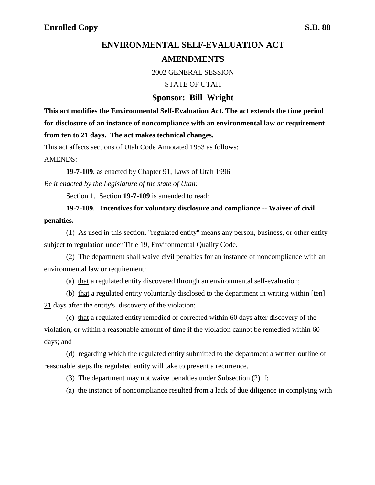## **ENVIRONMENTAL SELF-EVALUATION ACT AMENDMENTS**

2002 GENERAL SESSION

STATE OF UTAH

## **Sponsor: Bill Wright**

**This act modifies the Environmental Self-Evaluation Act. The act extends the time period for disclosure of an instance of noncompliance with an environmental law or requirement from ten to 21 days. The act makes technical changes.**

This act affects sections of Utah Code Annotated 1953 as follows:

AMENDS:

**19-7-109**, as enacted by Chapter 91, Laws of Utah 1996

*Be it enacted by the Legislature of the state of Utah:*

Section 1. Section **19-7-109** is amended to read:

**19-7-109. Incentives for voluntary disclosure and compliance -- Waiver of civil penalties.**

(1) As used in this section, "regulated entity" means any person, business, or other entity subject to regulation under Title 19, Environmental Quality Code.

(2) The department shall waive civil penalties for an instance of noncompliance with an environmental law or requirement:

(a) that a regulated entity discovered through an environmental self-evaluation;

(b) that a regulated entity voluntarily disclosed to the department in writing within  $[ten]$ 21 days after the entity's discovery of the violation;

(c) that a regulated entity remedied or corrected within 60 days after discovery of the violation, or within a reasonable amount of time if the violation cannot be remedied within 60 days; and

(d) regarding which the regulated entity submitted to the department a written outline of reasonable steps the regulated entity will take to prevent a recurrence.

(3) The department may not waive penalties under Subsection (2) if:

(a) the instance of noncompliance resulted from a lack of due diligence in complying with